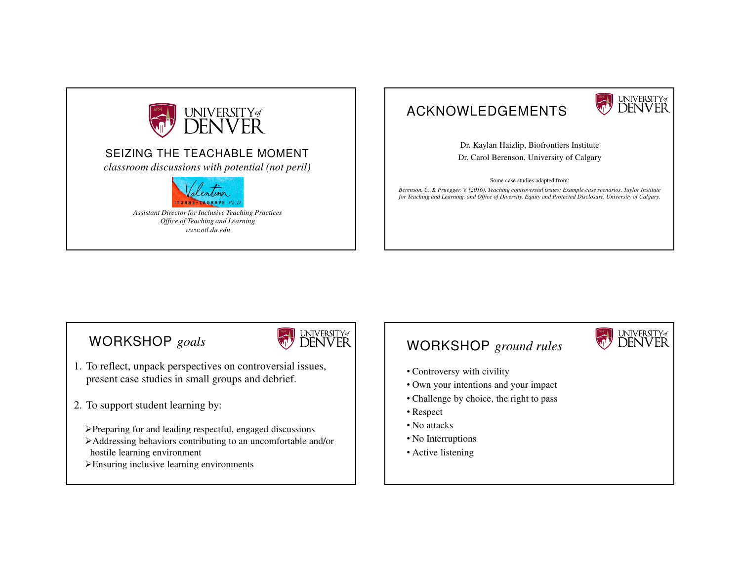

### ACKNOWLEDGEMENTS



Dr. Kaylan Haizlip, Biofrontiers InstituteDr. Carol Berenson, University of Calgary

Some case studies adapted from:

*Berenson, C. & Pruegger, V. (2016). Teaching controversial issues: Example case scenarios. Taylor Institute for Teaching and Learning, and Office of Diversity, Equity and Protected Disclosure, University of Calgary.* 

### WORKSHOP *goals*



- 1. To reflect, unpack perspectives on controversial issues, present case studies in small groups and debrief.
- 2. To support student learning by:
	- Preparing for and leading respectful, engaged discussions
	- Addressing behaviors contributing to an uncomfortable and/or hostile learning environment
	- Ensuring inclusive learning environments

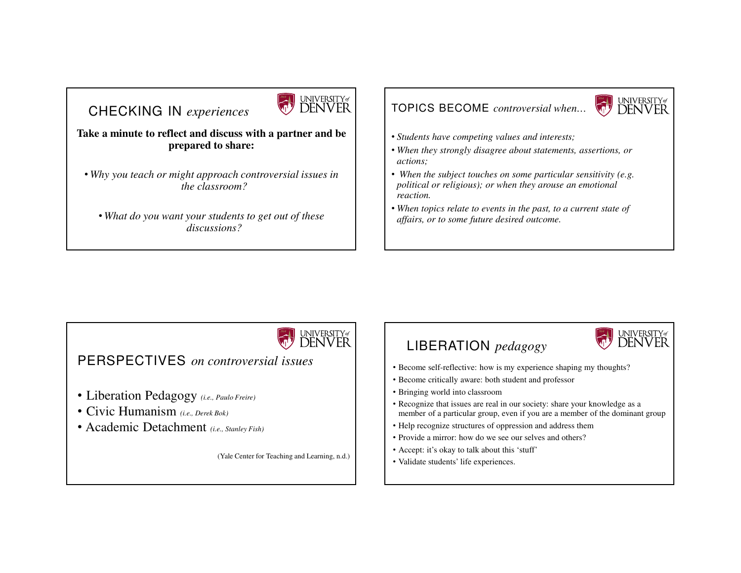## CHECKING IN *experiences*



#### **Take a minute to reflect and discuss with a partner and be prepared to share:**

• *Why you teach or might approach controversial issues inthe classroom?*

• *What do you want your students to get out of thesediscussions?*

#### TOPICS BECOME *controversial when…*



universityø<br>**DENVER** 

- *Students have competing values and interests;*
- *When they strongly disagree about statements, assertions, oractions;*
- *When the subject touches on some particular sensitivity (e.g. political or religious); or when they arouse an emotionalreaction.*
- *When topics relate to events in the past, to a current state of affairs, or to some future desired outcome.*

## UNIVERSITY<sub>of</sub> PERSPECTIVES *on controversial issues*

- Liberation Pedagogy *(i.e., Paulo Freire)*
- Civic Humanism *(i.e., Derek Bok)*
- Academic Detachment *(i.e., Stanley Fish)*

(Yale Center for Teaching and Learning, n.d.)

# LIBERATION *pedagogy*

- Become self-reflective: how is my experience shaping my thoughts?
- Become critically aware: both student and professor
- Bringing world into classroom
- Recognize that issues are real in our society: share your knowledge as amember of a particular group, even if you are a member of the dominant group
- Help recognize structures of oppression and address them
- Provide a mirror: how do we see our selves and others?
- Accept: it's okay to talk about this 'stuff'
- Validate students' life experiences.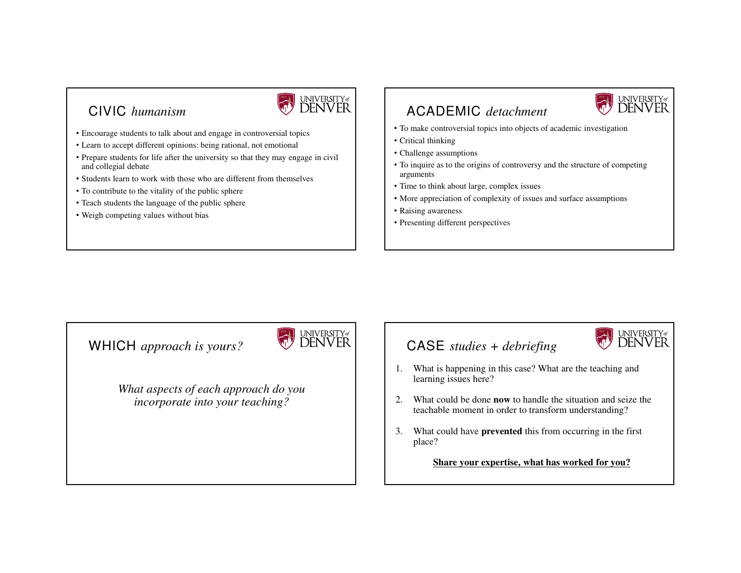### CIVIC *humanism*



- Encourage students to talk about and engage in controversial topics
- Learn to accept different opinions: being rational, not emotional
- Prepare students for life after the university so that they may engage in civil and collegial debate
- Students learn to work with those who are different from themselves
- To contribute to the vitality of the public sphere
- Teach students the language of the public sphere
- Weigh competing values without bias

#### ACADEMIC *detachment*



- To make controversial topics into objects of academic investigation
- Critical thinking
- Challenge assumptions
- To inquire as to the origins of controversy and the structure of competingarguments
- Time to think about large, complex issues
- More appreciation of complexity of issues and surface assumptions
- Raising awareness
- Presenting different perspectives

#### WHICH *approach is yours?*

*What aspects of each approach do you incorporate into your teaching?*



#### CASE *studies + debriefing*



- 1. What is happening in this case? What are the teaching andlearning issues here?
- 2. What could be done **now** to handle the situation and seize the teachable moment in order to transform understanding?
- 3. What could have **prevented** this from occurring in the first place?

**Share your expertise, what has worked for you?**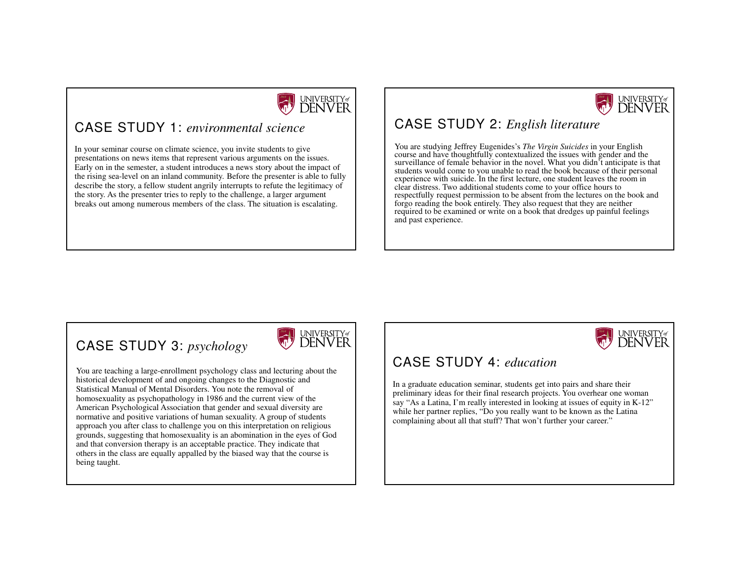

### CASE STUDY 1: *environmental science*

In your seminar course on climate science, you invite students to give presentations on news items that represent various arguments on the issues. Early on in the semester, a student introduces a news story about the impact of the rising sea-level on an inland community. Before the presenter is able to fully describe the story, a fellow student angrily interrupts to refute the legitimacy of the story. As the presenter tries to reply to the challenge, a larger argument breaks out among numerous members of the class. The situation is escalating.



### CASE STUDY 2: *English literature*

You are studying Jeffrey Eugenides's *The Virgin Suicides* in your English course and have thoughtfully contextualized the issues with gender and the surveillance of female behavior in the novel. What you didn't anticipate is that students would come to you unable to read the book because of their personal experience with suicide. In the first lecture, one student leaves the room in clear distress. Two additional students come to your office hours to respectfully request permission to be absent from the lectures on the book and forgo reading the book entirely. They also request that they are neither required to be examined or write on a book that dredges up painful feelings and past experience.

### CASE STUDY 3: *psychology*

You are teaching a large-enrollment psychology class and lecturing about the historical development of and ongoing changes to the Diagnostic and Statistical Manual of Mental Disorders. You note the removal of homosexuality as psychopathology in 1986 and the current view of the American Psychological Association that gender and sexual diversity are normative and positive variations of human sexuality. A group of students approach you after class to challenge you on this interpretation on religious grounds, suggesting that homosexuality is an abomination in the eyes of God and that conversion therapy is an acceptable practice. They indicate that others in the class are equally appalled by the biased way that the course is being taught.





### CASE STUDY 4: *education*

In a graduate education seminar, students get into pairs and share their preliminary ideas for their final research projects. You overhear one woman say "As a Latina, I'm really interested in looking at issues of equity in K-12" while her partner replies, "Do you really want to be known as the Latina complaining about all that stuff? That won't further your career."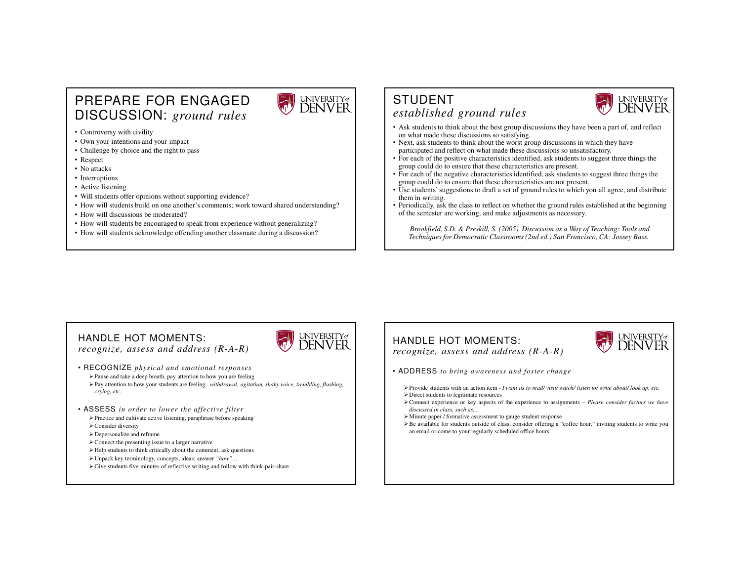#### PREPARE FOR ENGAGED DISCUSSION: *ground rules*



• Controversy with civility

- Own your intentions and your impact
- Challenge by choice and the right to pass
- Respect
- No attacks
- Interruptions
- Active listening
- Will students offer opinions without supporting evidence?
- How will students build on one another's comments; work toward shared understanding?
- How will discussions be moderated?
- How will students be encouraged to speak from experience without generalizing?
- How will students acknowledge offending another classmate during a discussion?

#### STUDENT *established ground rules*



universityø<br>DENVER

- Ask students to think about the best group discussions they have been a part of, and reflect on what made these discussions so satisfying.
- Next, ask students to think about the worst group discussions in which they haveparticipated and reflect on what made these discussions so unsatisfactory.
- For each of the positive characteristics identified, ask students to suggest three things thegroup could do to ensure that these characteristics are present.
- For each of the negative characteristics identified, ask students to suggest three things thegroup could do to ensure that these characteristics are not present.
- Use students' suggestions to draft a set of ground rules to which you all agree, and distributethem in writing.
- Periodically, ask the class to reflect on whether the ground rules established at the beginning of the semester are working, and make adjustments as necessary.

*Brookfield, S.D. & Preskill, S. (2005). Discussion as a Way of Teaching: Tools and Techniques for Democratic Classrooms (2nd ed.) San Francisco, CA: Jossey Bass.*

#### HANDLE HOT MOMENTS:

*recognize, assess and address (R-A-R)*

#### • RECOGNIZE *physical and emotional responses*Pause and take a deep breath, pay attention to how you are feeling

 Pay attention to how your students are feeling– *withdrawal, agitation, shaky voice, trembling, flushing, crying, etc.*

- ASSESS *in order to lower the affective filter*
	- Practice and cultivate active listening, paraphrase before speaking $\triangleright$  Consider diversity
	- Depersonalize and reframe
	- Connect the presenting issue to <sup>a</sup> larger narrative
	- Help students to think critically about the comment, ask questions
	- Unpack key terminology, concepts, ideas; answer *"how"…*
	- Give students five-minutes of reflective writing and follow with think-pair-share

#### HANDLE HOT MOMENTS:

*recognize, assess and address (R-A-R)*



- $\triangleright$  Provide students with an action item I want us to read/visit/watch/ listen to/write about/look up, etc.
- Direct students to legitimate resources
- Connect experience or key aspects of the experience to assignments *Please consider factors we have discussed in class, such as...*
- Minute paper / formative assessment to gauge student response
- Be available for students outside of class, consider offering <sup>a</sup> "coffee hour," inviting students to write youan email or come to your regularly scheduled office hours